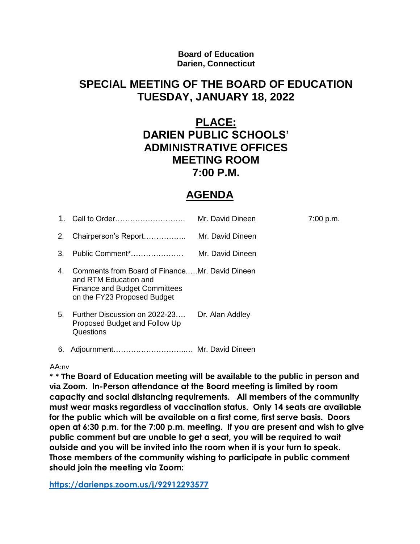#### **Board of Education Darien, Connecticut**

### **SPECIAL MEETING OF THE BOARD OF EDUCATION TUESDAY, JANUARY 18, 2022**

# **PLACE: DARIEN PUBLIC SCHOOLS' ADMINISTRATIVE OFFICES MEETING ROOM 7:00 P.M.**

# **AGENDA**

| 1. | Call to Order                                                                                                                                  | Mr. David Dineen | 7:00 p.m. |
|----|------------------------------------------------------------------------------------------------------------------------------------------------|------------------|-----------|
| 2. | Chairperson's Report                                                                                                                           | Mr. David Dineen |           |
| 3. | Public Comment*                                                                                                                                | Mr. David Dineen |           |
| 4. | Comments from Board of FinanceMr. David Dineen<br>and RTM Education and<br><b>Finance and Budget Committees</b><br>on the FY23 Proposed Budget |                  |           |
| 5. | Further Discussion on 2022-23<br>Proposed Budget and Follow Up<br>Questions                                                                    | Dr. Alan Addley  |           |
| 6. |                                                                                                                                                |                  |           |

#### AA:nv

**\* \* The Board of Education meeting will be available to the public in person and via Zoom. In-Person attendance at the Board meeting is limited by room capacity and social distancing requirements. All members of the community must wear masks regardless of vaccination status. Only 14 seats are available for the public which will be available on a first come, first serve basis. Doors open at 6:30 p.m. for the 7:00 p.m. meeting. If you are present and wish to give public comment but are unable to get a seat, you will be required to wait outside and you will be invited into the room when it is your turn to speak. Those members of the community wishing to participate in public comment should join the meeting via Zoom:** 

**<https://darienps.zoom.us/j/92912293577>**